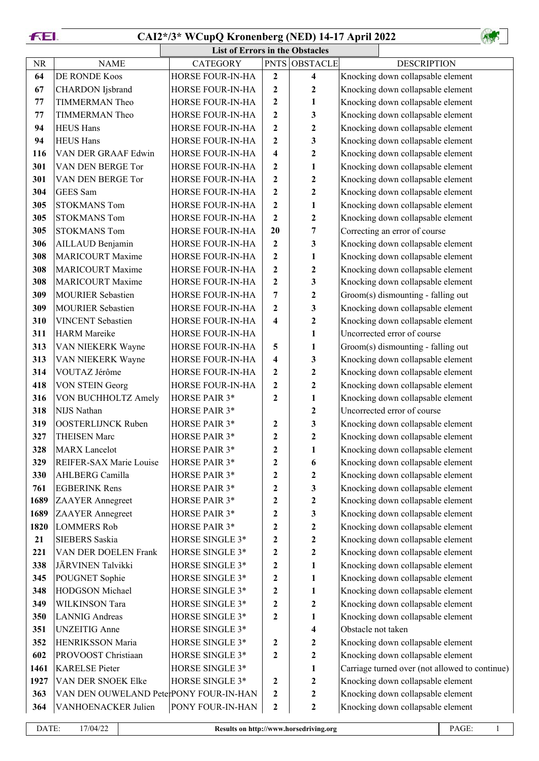**FEI.** 

## **CAI2\*/3\* WCupQ Kronenberg (NED) 14-17 April 2022**

|      | <b>List of Errors in the Obstacles</b> |                      |                         |                         |                    |                                                |  |  |  |
|------|----------------------------------------|----------------------|-------------------------|-------------------------|--------------------|------------------------------------------------|--|--|--|
| NR   | <b>NAME</b>                            | <b>CATEGORY</b>      | <b>PNTS</b>             | <b>OBSTACLE</b>         |                    | <b>DESCRIPTION</b>                             |  |  |  |
| 64   | DE RONDE Koos                          | HORSE FOUR-IN-HA     | $\boldsymbol{2}$        | $\overline{\mathbf{4}}$ |                    | Knocking down collapsable element              |  |  |  |
| 67   | CHARDON Ijsbrand                       | HORSE FOUR-IN-HA     | $\boldsymbol{2}$        | $\boldsymbol{2}$        |                    | Knocking down collapsable element              |  |  |  |
| 77   | <b>TIMMERMAN Theo</b>                  | HORSE FOUR-IN-HA     | $\boldsymbol{2}$        | 1                       |                    | Knocking down collapsable element              |  |  |  |
| 77   | <b>TIMMERMAN Theo</b>                  | HORSE FOUR-IN-HA     | $\boldsymbol{2}$        | 3                       |                    | Knocking down collapsable element              |  |  |  |
| 94   | <b>HEUS Hans</b>                       | HORSE FOUR-IN-HA     | $\boldsymbol{2}$        | $\boldsymbol{2}$        |                    | Knocking down collapsable element              |  |  |  |
| 94   | <b>HEUS Hans</b>                       | HORSE FOUR-IN-HA     | $\boldsymbol{2}$        | 3                       |                    | Knocking down collapsable element              |  |  |  |
| 116  | VAN DER GRAAF Edwin                    | HORSE FOUR-IN-HA     | $\overline{\mathbf{4}}$ | $\boldsymbol{2}$        |                    | Knocking down collapsable element              |  |  |  |
| 301  | VAN DEN BERGE Tor                      | HORSE FOUR-IN-HA     | $\boldsymbol{2}$        | 1                       |                    | Knocking down collapsable element              |  |  |  |
| 301  | VAN DEN BERGE Tor                      | HORSE FOUR-IN-HA     | $\boldsymbol{2}$        | $\boldsymbol{2}$        |                    | Knocking down collapsable element              |  |  |  |
| 304  | GEES Sam                               | HORSE FOUR-IN-HA     | $\boldsymbol{2}$        | $\boldsymbol{2}$        |                    | Knocking down collapsable element              |  |  |  |
| 305  | <b>STOKMANS Tom</b>                    | HORSE FOUR-IN-HA     | $\boldsymbol{2}$        | 1                       |                    | Knocking down collapsable element              |  |  |  |
| 305  | <b>STOKMANS Tom</b>                    | HORSE FOUR-IN-HA     | $\boldsymbol{2}$        | $\mathbf{2}$            |                    | Knocking down collapsable element              |  |  |  |
| 305  | <b>STOKMANS Tom</b>                    | HORSE FOUR-IN-HA     | 20                      | 7                       |                    | Correcting an error of course                  |  |  |  |
| 306  | AILLAUD Benjamin                       | HORSE FOUR-IN-HA     | $\boldsymbol{2}$        | 3                       |                    | Knocking down collapsable element              |  |  |  |
| 308  | <b>MARICOURT Maxime</b>                | HORSE FOUR-IN-HA     | $\boldsymbol{2}$        | 1                       |                    | Knocking down collapsable element              |  |  |  |
| 308  | <b>MARICOURT Maxime</b>                | HORSE FOUR-IN-HA     | $\boldsymbol{2}$        | $\boldsymbol{2}$        |                    | Knocking down collapsable element              |  |  |  |
| 308  | <b>MARICOURT Maxime</b>                | HORSE FOUR-IN-HA     | $\boldsymbol{2}$        | 3                       |                    | Knocking down collapsable element              |  |  |  |
| 309  | MOURIER Sebastien                      | HORSE FOUR-IN-HA     | 7                       | $\boldsymbol{2}$        |                    | Groom(s) dismounting - falling out             |  |  |  |
| 309  | <b>MOURIER Sebastien</b>               | HORSE FOUR-IN-HA     | $\boldsymbol{2}$        | 3                       |                    | Knocking down collapsable element              |  |  |  |
| 310  | <b>VINCENT</b> Sebastien               | HORSE FOUR-IN-HA     | 4                       | $\boldsymbol{2}$        |                    | Knocking down collapsable element              |  |  |  |
| 311  | <b>HARM</b> Mareike                    | HORSE FOUR-IN-HA     |                         | 1                       |                    | Uncorrected error of course                    |  |  |  |
| 313  | VAN NIEKERK Wayne                      | HORSE FOUR-IN-HA     | 5                       | 1                       |                    | Groom(s) dismounting - falling out             |  |  |  |
| 313  | VAN NIEKERK Wayne                      | HORSE FOUR-IN-HA     | 4                       | 3                       |                    | Knocking down collapsable element              |  |  |  |
| 314  | VOUTAZ Jérôme                          | HORSE FOUR-IN-HA     | $\boldsymbol{2}$        | 2                       |                    | Knocking down collapsable element              |  |  |  |
| 418  | <b>VON STEIN Georg</b>                 | HORSE FOUR-IN-HA     | $\boldsymbol{2}$        | $\boldsymbol{2}$        |                    | Knocking down collapsable element              |  |  |  |
| 316  | VON BUCHHOLTZ Amely                    | HORSE PAIR 3*        | $\boldsymbol{2}$        | 1                       |                    | Knocking down collapsable element              |  |  |  |
| 318  | NIJS Nathan                            | HORSE PAIR 3*        |                         | 2                       |                    | Uncorrected error of course                    |  |  |  |
| 319  | <b>OOSTERLIJNCK Ruben</b>              | HORSE PAIR 3*        | 2                       | 3                       |                    | Knocking down collapsable element              |  |  |  |
| 327  | <b>THEISEN Marc</b>                    | HORSE PAIR 3*        | $\boldsymbol{2}$        | $\mathbf{2}$            |                    | Knocking down collapsable element              |  |  |  |
| 328  | <b>MARX</b> Lancelot                   | <b>HORSE PAIR 3*</b> | $\boldsymbol{2}$        | 1                       |                    | Knocking down collapsable element              |  |  |  |
| 329  | <b>REIFER-SAX Marie Louise</b>         | HORSE PAIR 3*        | $\boldsymbol{2}$        | 6                       |                    | Knocking down collapsable element              |  |  |  |
| 330  | AHLBERG Camilla                        | HORSE PAIR 3*        | $\boldsymbol{2}$        | $\boldsymbol{2}$        |                    | Knocking down collapsable element              |  |  |  |
| 761  | <b>EGBERINK Rens</b>                   | HORSE PAIR 3*        | $\boldsymbol{2}$        | 3                       |                    | Knocking down collapsable element              |  |  |  |
| 1689 | <b>ZAAYER</b> Annegreet                | HORSE PAIR 3*        | $\boldsymbol{2}$        | $\boldsymbol{2}$        |                    | Knocking down collapsable element              |  |  |  |
| 1689 | <b>ZAAYER</b> Annegreet                | HORSE PAIR 3*        | $\boldsymbol{2}$        | 3                       |                    | Knocking down collapsable element              |  |  |  |
| 1820 | <b>LOMMERS Rob</b>                     | HORSE PAIR 3*        | $\boldsymbol{2}$        | 2                       |                    | Knocking down collapsable element              |  |  |  |
| 21   | <b>SIEBERS</b> Saskia                  | HORSE SINGLE 3*      | $\boldsymbol{2}$        | $\boldsymbol{2}$        |                    | Knocking down collapsable element              |  |  |  |
| 221  | VAN DER DOELEN Frank                   | HORSE SINGLE 3*      | $\boldsymbol{2}$        | $\boldsymbol{2}$        |                    | Knocking down collapsable element              |  |  |  |
| 338  | JÄRVINEN Talvikki                      | HORSE SINGLE 3*      | $\boldsymbol{2}$        | 1                       |                    | Knocking down collapsable element              |  |  |  |
| 345  | POUGNET Sophie                         | HORSE SINGLE 3*      | $\boldsymbol{2}$        | 1                       |                    | Knocking down collapsable element              |  |  |  |
| 348  | HODGSON Michael                        | HORSE SINGLE 3*      | $\boldsymbol{2}$        | 1                       |                    | Knocking down collapsable element              |  |  |  |
| 349  | WILKINSON Tara                         | HORSE SINGLE 3*      | $\boldsymbol{2}$        | $\boldsymbol{2}$        |                    | Knocking down collapsable element              |  |  |  |
| 350  | <b>LANNIG</b> Andreas                  | HORSE SINGLE 3*      | $\boldsymbol{2}$        | 1                       |                    | Knocking down collapsable element              |  |  |  |
| 351  | <b>UNZEITIG</b> Anne                   | HORSE SINGLE 3*      |                         | $\overline{\mathbf{4}}$ | Obstacle not taken |                                                |  |  |  |
| 352  | HENRIKSSON Maria                       | HORSE SINGLE 3*      | $\boldsymbol{2}$        | $\boldsymbol{2}$        |                    | Knocking down collapsable element              |  |  |  |
| 602  | PROVOOST Christiaan                    | HORSE SINGLE 3*      | $\boldsymbol{2}$        | $\boldsymbol{2}$        |                    | Knocking down collapsable element              |  |  |  |
| 1461 | <b>KARELSE Pieter</b>                  | HORSE SINGLE 3*      |                         | 1                       |                    | Carriage turned over (not allowed to continue) |  |  |  |
| 1927 | VAN DER SNOEK Elke                     | HORSE SINGLE 3*      | $\boldsymbol{2}$        | $\boldsymbol{2}$        |                    | Knocking down collapsable element              |  |  |  |
| 363  | VAN DEN OUWELAND PeterPONY FOUR-IN-HAN |                      | $\boldsymbol{2}$        | $\boldsymbol{2}$        |                    | Knocking down collapsable element              |  |  |  |
| 364  | VANHOENACKER Julien                    | PONY FOUR-IN-HAN     | $\boldsymbol{2}$        | $\boldsymbol{2}$        |                    | Knocking down collapsable element              |  |  |  |